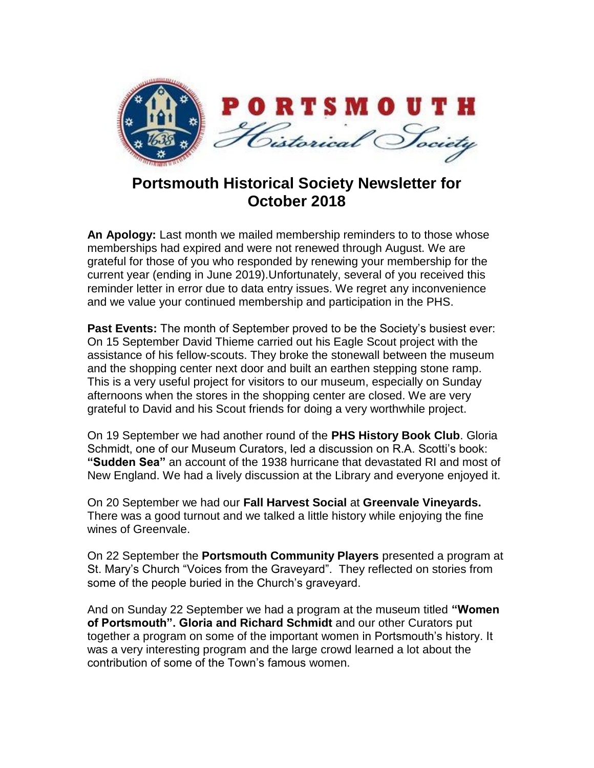

## **Portsmouth Historical Society Newsletter for October 2018**

**An Apology:** Last month we mailed membership reminders to to those whose memberships had expired and were not renewed through August. We are grateful for those of you who responded by renewing your membership for the current year (ending in June 2019).Unfortunately, several of you received this reminder letter in error due to data entry issues. We regret any inconvenience and we value your continued membership and participation in the PHS.

**Past Events:** The month of September proved to be the Society's busiest ever: On 15 September David Thieme carried out his Eagle Scout project with the assistance of his fellow-scouts. They broke the stonewall between the museum and the shopping center next door and built an earthen stepping stone ramp. This is a very useful project for visitors to our museum, especially on Sunday afternoons when the stores in the shopping center are closed. We are very grateful to David and his Scout friends for doing a very worthwhile project.

On 19 September we had another round of the **PHS History Book Club**. Gloria Schmidt, one of our Museum Curators, led a discussion on R.A. Scotti's book: **"Sudden Sea"** an account of the 1938 hurricane that devastated RI and most of New England. We had a lively discussion at the Library and everyone enjoyed it.

On 20 September we had our **Fall Harvest Social** at **Greenvale Vineyards.** There was a good turnout and we talked a little history while enjoying the fine wines of Greenvale.

On 22 September the **Portsmouth Community Players** presented a program at St. Mary's Church "Voices from the Graveyard". They reflected on stories from some of the people buried in the Church's graveyard.

And on Sunday 22 September we had a program at the museum titled **"Women of Portsmouth". Gloria and Richard Schmidt** and our other Curators put together a program on some of the important women in Portsmouth's history. It was a very interesting program and the large crowd learned a lot about the contribution of some of the Town's famous women.